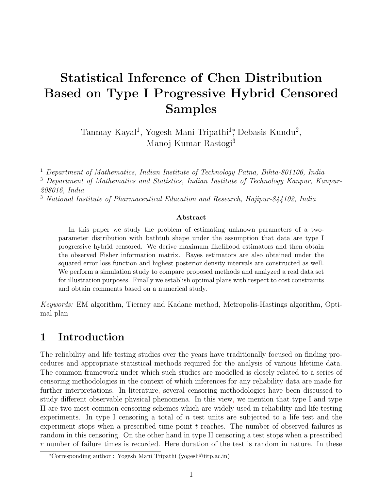# Statistical Inference of Chen Distribution Based on Type I Progressive Hybrid Censored Samples

Tanmay Kayal<sup>1</sup>, Yogesh Mani Tripathi<sup>1</sup><sup>\*</sup>, Debasis Kundu<sup>2</sup>, Manoj Kumar Rastogi<sup>3</sup>

<sup>1</sup> Department of Mathematics, Indian Institute of Technology Patna, Bihta-801106, India <sup>3</sup> Department of Mathematics and Statistics, Indian Institute of Technology Kanpur, Kanpur-208016, India

<sup>3</sup> National Institute of Pharmaceutical Education and Research, Hajipur-844102, India

#### Abstract

In this paper we study the problem of estimating unknown parameters of a twoparameter distribution with bathtub shape under the assumption that data are type I progressive hybrid censored. We derive maximum likelihood estimators and then obtain the observed Fisher information matrix. Bayes estimators are also obtained under the squared error loss function and highest posterior density intervals are constructed as well. We perform a simulation study to compare proposed methods and analyzed a real data set for illustration purposes. Finally we establish optimal plans with respect to cost constraints and obtain comments based on a numerical study.

Keywords: EM algorithm, Tierney and Kadane method, Metropolis-Hastings algorithm, Optimal plan

# 1 Introduction

The reliability and life testing studies over the years have traditionally focused on finding procedures and appropriate statistical methods required for the analysis of various lifetime data. The common framework under which such studies are modelled is closely related to a series of censoring methodologies in the context of which inferences for any reliability data are made for further interpretations. In literature, several censoring methodologies have been discussed to study different observable physical phenomena. In this view, we mention that type I and type II are two most common censoring schemes which are widely used in reliability and life testing experiments. In type I censoring a total of  $n$  test units are subjected to a life test and the experiment stops when a prescribed time point  $t$  reaches. The number of observed failures is random in this censoring. On the other hand in type II censoring a test stops when a prescribed  $r$  number of failure times is recorded. Here duration of the test is random in nature. In these

<sup>∗</sup>Corresponding author : Yogesh Mani Tripathi (yogesh@iitp.ac.in)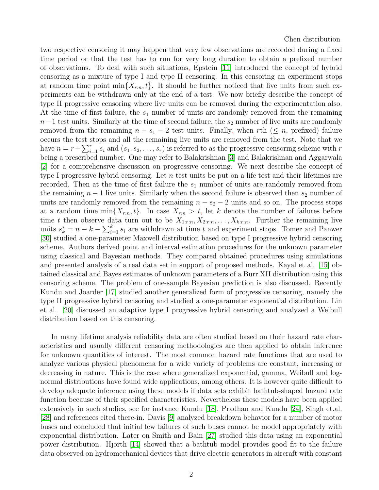two respective censoring it may happen that very few observations are recorded during a fixed time period or that the test has to run for very long duration to obtain a prefixed number of observations. To deal with such situations, Epstein [\[11\]](#page-19-0) introduced the concept of hybrid censoring as a mixture of type I and type II censoring. In this censoring an experiment stops at random time point  $\min\{X_{r:n}, t\}$ . It should be further noticed that live units from such experiments can be withdrawn only at the end of a test. We now briefly describe the concept of type II progressive censoring where live units can be removed during the experimentation also. At the time of first failure, the  $s_1$  number of units are randomly removed from the remaining  $n-1$  test units. Similarly at the time of second failure, the  $s_2$  number of live units are randomly removed from the remaining  $n - s_1 - 2$  test units. Finally, when rth  $(\leq n, \text{ prefixed})$  failure occurs the test stops and all the remaining live units are removed from the test. Note that we have  $n = r + \sum_{i=1}^{r} s_i$  and  $(s_1, s_2, \ldots, s_r)$  is referred to as the progressive censoring scheme with r being a prescribed number. One may refer to Balakrishnan [\[3\]](#page-18-0) and Balakrishnan and Aggarwala [\[2\]](#page-18-1) for a comprehensive discussion on progressive censoring. We next describe the concept of type I progressive hybrid censoring. Let n test units be put on a life test and their lifetimes are recorded. Then at the time of first failure the  $s_1$  number of units are randomly removed from the remaining  $n-1$  live units. Similarly when the second failure is observed then  $s_2$  number of units are randomly removed from the remaining  $n - s_2 - 2$  units and so on. The process stops at a random time  $\min\{X_{r:n}, t\}$ . In case  $X_{r:n} > t$ , let k denote the number of failures before time t then observe data turn out to be  $X_{1:r:n}, X_{2:r:n}, \ldots, X_{k:r:n}$ . Further the remaining live units  $s_k^* = n - k - \sum_{i=1}^k s_i$  are withdrawn at time t and experiment stops. Tomer and Panwer [\[30\]](#page-20-0) studied a one-parameter Maxwell distribution based on type I progressive hybrid censoring scheme. Authors derived point and interval estimation procedures for the unknown parameter using classical and Bayesian methods. They compared obtained procedures using simulations and presented analysis of a real data set in support of proposed methods. Kayal et al. [\[15\]](#page-19-1) obtained classical and Bayes estimates of unknown parameters of a Burr XII distribution using this censoring scheme. The problem of one-sample Bayesian prediction is also discussed. Recently Kundu and Joarder [\[17\]](#page-19-2) studied another generalized form of progressive censoring, namely the type II progressive hybrid censoring and studied a one-parameter exponential distribution. Lin et al. [\[20\]](#page-19-3) discussed an adaptive type I progressive hybrid censoring and analyzed a Weibull distribution based on this censoring.

In many lifetime analysis reliability data are often studied based on their hazard rate characteristics and usually different censoring methodologies are then applied to obtain inference for unknown quantities of interest. The most common hazard rate functions that are used to analyze various physical phenomena for a wide variety of problems are constant, increasing or decreasing in nature. This is the case where generalized exponential, gamma, Weibull and lognormal distributions have found wide applications, among others. It is however quite difficult to develop adequate inference using these models if data sets exhibit bathtub-shaped hazard rate function because of their specified characteristics. Nevertheless these models have been applied extensively in such studies, see for instance Kundu [\[18\]](#page-19-4), Pradhan and Kundu [\[24\]](#page-20-1), Singh et.al. [\[28\]](#page-20-2) and references cited there-in. Davis [\[9\]](#page-19-5) analyzed breakdown behavior for a number of motor buses and concluded that initial few failures of such buses cannot be model appropriately with exponential distribution. Later on Smith and Bain [\[27\]](#page-20-3) studied this data using an exponential power distribution. Hjorth [\[14\]](#page-19-6) showed that a bathtub model provides good fit to the failure data observed on hydromechanical devices that drive electric generators in aircraft with constant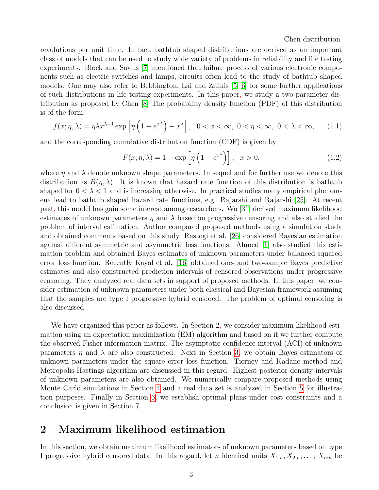revolutions per unit time. In fact, bathtub shaped distributions are derived as an important class of models that can be used to study wide variety of problems in reliability and life testing experiments. Block and Savits [\[7\]](#page-18-2) mentioned that failure process of various electronic components such as electric switches and lamps, circuits often lead to the study of bathtub shaped models. One may also refer to Bebbington, Lai and Zitikis [\[5,](#page-18-3) [6\]](#page-18-4) for some further applications of such distributions in life testing experiments. In this paper, we study a two-parameter distribution as proposed by Chen [\[8\]](#page-19-7) The probability density function (PDF) of this distribution is of the form

$$
f(x; \eta, \lambda) = \eta \lambda x^{\lambda - 1} \exp\left[\eta \left(1 - e^{x^{\lambda}}\right) + x^{\lambda}\right], \quad 0 < x < \infty, \quad 0 < \eta < \infty, \quad 0 < \lambda < \infty,\tag{1.1}
$$

and the corresponding cumulative distribution function (CDF) is given by

$$
F(x; \eta, \lambda) = 1 - \exp\left[\eta \left(1 - e^{x^{\lambda}}\right)\right], \quad x > 0,
$$
\n(1.2)

where  $\eta$  and  $\lambda$  denote unknown shape parameters. In sequel and for further use we denote this distribution as  $B(\eta, \lambda)$ . It is known that hazard rate function of this distribution is bathtub shaped for  $0 < \lambda < 1$  and is increasing otherwise. In practical studies many empirical phenomena lead to bathtub shaped hazard rate functions, e.g. Rajarshi and Rajarshi [\[25\]](#page-20-4). At recent past, this model has gain some interest among researchers. Wu [\[31\]](#page-20-5) derived maximum likelihood estimates of unknown parameters  $\eta$  and  $\lambda$  based on progressive censoring and also studied the problem of interval estimation. Author compared proposed methods using a simulation study and obtained comments based on this study. Rastogi et al. [\[26\]](#page-20-6) considered Bayesian estimation against different symmetric and asymmetric loss functions. Ahmed [\[1\]](#page-18-5) also studied this estimation problem and obtained Bayes estimates of unknown parameters under balanced squared error loss function. Recently Kayal et al. [\[16\]](#page-19-8) obtained one- and two-sample Bayes predictive estimates and also constructed prediction intervals of censored observations under progressive censoring. They analyzed real data sets in support of proposed methods. In this paper, we consider estimation of unknown parameters under both classical and Bayesian framework assuming that the samples are type I progressive hybrid censored. The problem of optimal censoring is also discussed.

We have organized this paper as follows. In Section 2, we consider maximum likelihood estimation using an expectation maximization (EM) algorithm and based on it we further compute the observed Fisher information matrix. The asymptotic confidence interval (ACI) of unknown parameters  $\eta$  and  $\lambda$  are also constructed. Next in Section [3,](#page-5-0) we obtain Bayes estimators of unknown parameters under the square error loss function. Tierney and Kadane method and Metropolis-Hastings algorithm are discussed in this regard. Highest posterior density intervals of unknown parameters are also obtained. We numerically compare proposed methods using Monte Carlo simulations in Section [4](#page-7-0) and a real data set is analyzed in Section [5](#page-11-0) for illustration purposes. Finally in Section [6,](#page-15-0) we establish optimal plans under cost constraints and a conclusion is given in Section 7.

# 2 Maximum likelihood estimation

In this section, we obtain maximum likelihood estimators of unknown parameters based on type I progressive hybrid censored data. In this regard, let *n* identical units  $X_{1:n}, X_{2:n}, \ldots, X_{n:n}$  be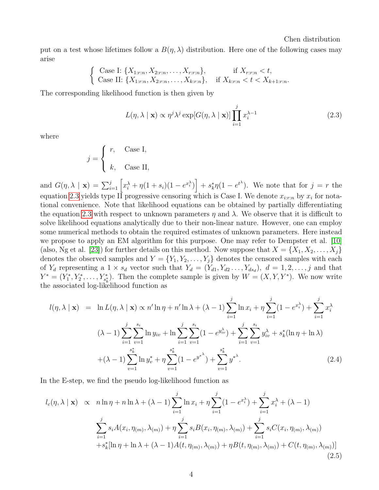put on a test whose lifetimes follow a  $B(\eta, \lambda)$  distribution. Here one of the following cases may arise

$$
\begin{cases} \text{Case I: } \{X_{1:r:n}, X_{2:r:n}, \dots, X_{r:r:n}\}, & \text{if } X_{r:r:n} < t, \\ \text{Case II: } \{X_{1:r:n}, X_{2:r:n}, \dots, X_{k:r:n}\}, & \text{if } X_{k:r:n} < t < X_{k+1:r:n}. \end{cases}
$$

The corresponding likelihood function is then given by

<span id="page-3-0"></span>
$$
L(\eta, \lambda \mid \mathbf{x}) \propto \eta^{j} \lambda^{j} \exp[G(\eta, \lambda \mid \mathbf{x})] \prod_{i=1}^{j} x_{i}^{\lambda - 1}
$$
 (2.3)

where

$$
j = \begin{cases} r, & \text{Case I,} \\ k, & \text{Case II,} \end{cases}
$$

and  $G(\eta, \lambda \mid \mathbf{x}) = \sum_{i=1}^{j} \left[ x_i^{\lambda} + \eta (1+s_i)(1-e^{x_i^{\lambda}}) \right] + s_k^* \eta (1-e^{t^{\lambda}})$ . We note that for  $j = r$  the equation [2.3](#page-3-0) yields type II progressive censoring which is Case I. We denote  $x_{i:r:n}$  by  $x_i$  for notational convenience. Note that likelihood equations can be obtained by partially differentiating the equation [2.3](#page-3-0) with respect to unknown parameters  $\eta$  and  $\lambda$ . We observe that it is difficult to solve likelihood equations analytically due to their non-linear nature. However, one can employ some numerical methods to obtain the required estimates of unknown parameters. Here instead we propose to apply an EM algorithm for this purpose. One may refer to Dempster et al. [\[10\]](#page-19-9) (also, Ng et al. [\[23\]](#page-19-10)) for further details on this method. Now suppose that  $X = \{X_1, X_2, \ldots, X_i\}$ denotes the observed samples and  $Y = \{Y_1, Y_2, \ldots, Y_j\}$  denotes the censored samples with each of  $Y_d$  representing a  $1 \times s_d$  vector such that  $Y_d = (Y_{d1}, Y_{d2}, \ldots, Y_{ds_d})$ ,  $d = 1, 2, \ldots, j$  and that  $Y^* = (Y_1^*, Y_2^*, \ldots, Y_{s_k}^*)$ . Then the complete sample is given by  $W = (X, Y, Y^*)$ . We now write the associated log-likelihood function as

$$
l(\eta, \lambda \mid \mathbf{x}) = \ln L(\eta, \lambda \mid \mathbf{x}) \propto n' \ln \eta + n' \ln \lambda + (\lambda - 1) \sum_{i=1}^{j} \ln x_i + \eta \sum_{i=1}^{j} (1 - e^{x_i^{\lambda}}) + \sum_{i=1}^{j} x_i^{\lambda}
$$
  

$$
(\lambda - 1) \sum_{i=1}^{j} \sum_{v=1}^{s_i} \ln y_{iv} + \ln \sum_{i=1}^{j} \sum_{v=1}^{s_i} (1 - e^{y_{iv}^{\lambda}}) + \sum_{i=1}^{j} \sum_{v=1}^{s_i} y_{iv}^{\lambda} + s_k^* (\ln \eta + \ln \lambda)
$$
  

$$
+ (\lambda - 1) \sum_{v=1}^{s_k^*} \ln y_v^* + \eta \sum_{v=1}^{s_k^*} (1 - e^{y^{\lambda}}) + \sum_{v=1}^{s_k^*} y^{*^{\lambda}}.
$$
 (2.4)

In the E-step, we find the pseudo log-likelihood function as

<span id="page-3-1"></span>
$$
l_c(\eta, \lambda \mid \mathbf{x}) \propto n \ln \eta + n \ln \lambda + (\lambda - 1) \sum_{i=1}^j \ln x_i + \eta \sum_{i=1}^j (1 - e^{x_i^{\lambda}}) + \sum_{i=1}^j x_i^{\lambda} + (\lambda - 1)
$$
  

$$
\sum_{i=1}^j s_i A(x_i, \eta_{(m)}, \lambda_{(m)}) + \eta \sum_{i=1}^j s_i B(x_i, \eta_{(m)}, \lambda_{(m)}) + \sum_{i=1}^j s_i C(x_i, \eta_{(m)}, \lambda_{(m)})
$$
  

$$
+ s_k^* [\ln \eta + \ln \lambda + (\lambda - 1) A(t, \eta_{(m)}, \lambda_{(m)}) + \eta B(t, \eta_{(m)}, \lambda_{(m)}) + C(t, \eta_{(m)}, \lambda_{(m)})]
$$
(2.5)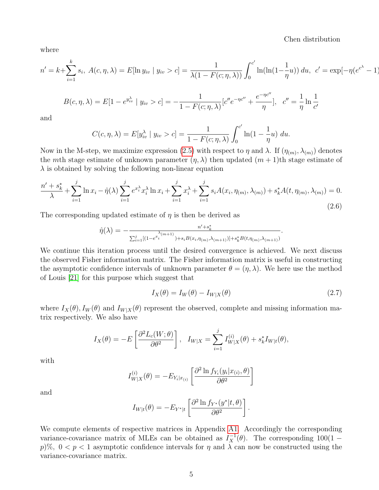where

$$
n' = k + \sum_{i=1}^{k} s_i, \ A(c, \eta, \lambda) = E[\ln y_{iv} \mid y_{iv} > c] = \frac{1}{\lambda(1 - F(c; \eta, \lambda))} \int_0^{c'} \ln(\ln(1 - \frac{1}{\eta}u)) \ du, \ c' = \exp[-\eta(e^{c^{\lambda}} - 1)]
$$

$$
B(c, \eta, \lambda) = E[1 - e^{y_{iv}^{\lambda}} \mid y_{iv} > c] = -\frac{1}{1 - F(c; \eta, \lambda)} [c''e^{-\eta c''} + \frac{e^{-\eta c''}}{\eta}], \quad c'' = \frac{1}{\eta} \ln \frac{1}{c'}
$$

and

$$
C(c, \eta, \lambda) = E[y_{iv}^{\lambda} \mid y_{iv} > c] = \frac{1}{1 - F(c; \eta, \lambda)} \int_{0}^{c'} \ln(1 - \frac{1}{\eta}u) \ du.
$$

Now in the M-step, we maximize expression [\(2.5\)](#page-3-1) with respect to  $\eta$  and  $\lambda$ . If  $(\eta_{(m)}, \lambda_{(m)})$  denotes the mth stage estimate of unknown parameter  $(\eta, \lambda)$  then updated  $(m + 1)$ th stage estimate of  $\lambda$  is obtained by solving the following non-linear equation

$$
\frac{n' + s_k^*}{\lambda} + \sum_{i=1}^j \ln x_i - \hat{\eta}(\lambda) \sum_{i=1}^j e^{x_i^{\lambda}} x_i^{\lambda} \ln x_i + \sum_{i=1}^j x_i^{\lambda} + \sum_{i=1}^j s_i A(x_i, \eta_{(m)}, \lambda_{(m)}) + s_k^* A(t, \eta_{(m)}, \lambda_{(m)}) = 0.
$$
\n(2.6)

The corresponding updated estimate of  $\eta$  is then be derived as

$$
\hat{\eta}(\lambda) = -\frac{n' + s_k^*}{\sum_{i=1}^j [(1 - e^{x_i^*}(m+1)) + s_i B(x_i, \eta(m), \lambda(m+1))] + s_k^* B(t, \eta(m), \lambda(m+1))}.
$$

We continue this iteration process until the desired convergence is achieved. We next discuss the observed Fisher information matrix. The Fisher information matrix is useful in constructing the asymptotic confidence intervals of unknown parameter  $\theta = (\eta, \lambda)$ . We here use the method of Louis [\[21\]](#page-19-11) for this purpose which suggest that

$$
I_X(\theta) = I_W(\theta) - I_{W|X}(\theta)
$$
\n(2.7)

where  $I_X(\theta)$ ,  $I_W(\theta)$  and  $I_{W|X}(\theta)$  represent the observed, complete and missing information matrix respectively. We also have

$$
I_X(\theta) = -E\left[\frac{\partial^2 L_c(W;\theta)}{\partial \theta^2}\right], \quad I_{W|X} = \sum_{i=1}^j I_{W|X}^{(i)}(\theta) + s_k^* I_{W|t}(\theta),
$$

with

$$
I_{W|X}^{(i)}(\theta) = -E_{Y_i|x_{(i)}} \left[ \frac{\partial^2 \ln f_{Y_i}(y_i|x_{(i)}, \theta)}{\partial \theta^2} \right]
$$

and

$$
I_{W|t}(\theta) = -E_{Y^*|t} \left[ \frac{\partial^2 \ln f_{Y^*}(y^*|t,\theta)}{\partial \theta^2} \right].
$$

We compute elements of respective matrices in Appendix [A1.](#page-21-0) Accordingly the corresponding variance-covariance matrix of MLEs can be obtained as  $I_X^{-1}(\theta)$ . The corresponding 100(1 – p)%,  $0 < p < 1$  asymptotic confidence intervals for  $\eta$  and  $\lambda$  can now be constructed using the variance-covariance matrix.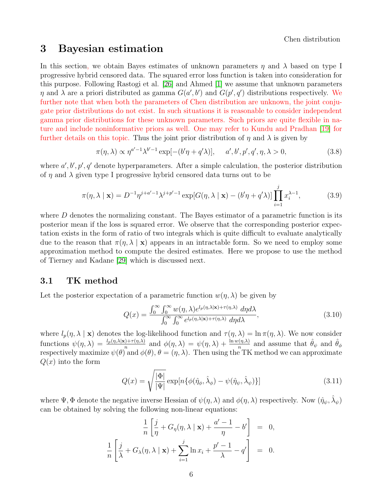# <span id="page-5-0"></span>3 Bayesian estimation

In this section, we obtain Bayes estimates of unknown parameters  $\eta$  and  $\lambda$  based on type I progressive hybrid censored data. The squared error loss function is taken into consideration for this purpose. Following Rastogi et al. [\[26\]](#page-20-6) and Ahmed [\[1\]](#page-18-5) we assume that unknown parameters  $\eta$  and  $\lambda$  are a priori distributed as gamma  $G(a', b')$  and  $G(p', q')$  distributions respectively. We further note that when both the parameters of Chen distribution are unknown, the joint conjugate prior distributions do not exist. In such situations it is reasonable to consider independent gamma prior distributions for these unknown parameters. Such priors are quite flexible in nature and include noninformative priors as well. One may refer to Kundu and Pradhan [\[19\]](#page-19-12) for further details on this topic. Thus the joint prior distribution of  $\eta$  and  $\lambda$  is given by

$$
\pi(\eta,\lambda) \propto \eta^{a'-1}\lambda^{b'-1}\exp[-(b'\eta + q'\lambda)], \quad a', b', p', q', \eta, \lambda > 0,
$$
\n(3.8)

where  $a', b', p', q'$  denote hyperparameters. After a simple calculation, the posterior distribution of  $\eta$  and  $\lambda$  given type I progressive hybrid censored data turns out to be

<span id="page-5-1"></span>
$$
\pi(\eta, \lambda \mid \mathbf{x}) = D^{-1} \eta^{j+a'-1} \lambda^{j+p'-1} \exp[G(\eta, \lambda \mid \mathbf{x}) - (b'\eta + q'\lambda)] \prod_{i=1}^{j} x_i^{\lambda-1},
$$
\n(3.9)

where  $D$  denotes the normalizing constant. The Bayes estimator of a parametric function is its posterior mean if the loss is squared error. We observe that the corresponding posterior expectation exists in the form of ratio of two integrals which is quite difficult to evaluate analytically due to the reason that  $\pi(\eta, \lambda \mid \mathbf{x})$  appears in an intractable form. So we need to employ some approximation method to compute the desired estimates. Here we propose to use the method of Tierney and Kadane [\[29\]](#page-20-7) which is discussed next.

#### 3.1 TK method

Let the posterior expectation of a parametric function  $w(\eta, \lambda)$  be given by

$$
Q(x) = \frac{\int_0^\infty \int_0^\infty w(\eta, \lambda) e^{l_p(\eta, \lambda | \mathbf{x}) + \tau(\eta, \lambda)} d\eta d\lambda}{\int_0^\infty \int_0^\infty e^{l_p(\eta, \lambda | \mathbf{x}) + \tau(\eta, \lambda)} d\eta d\lambda},
$$
\n(3.10)

where  $l_p(\eta, \lambda | \mathbf{x})$  denotes the log-likelihood function and  $\tau(\eta, \lambda) = \ln \pi(\eta, \lambda)$ . We now consider functions  $\psi(\eta, \lambda) = \frac{l_p(\eta, \lambda | \mathbf{x}) + \tau(\eta, \lambda)}{n}$  and  $\phi(\eta, \lambda) = \psi(\eta, \lambda) + \frac{\ln w(\eta, \lambda)}{n}$  and assume that  $\hat{\theta}_{\psi}$  and  $\hat{\theta}_{\phi}$ respectively maximize  $\psi(\theta)$  and  $\phi(\theta), \theta = (\eta, \lambda)$ . Then using the TK method we can approximate  $Q(x)$  into the form

$$
Q(x) = \sqrt{\frac{|\Phi|}{|\Psi|}} \exp[n\{\phi(\hat{\eta}_{\phi}, \hat{\lambda}_{\phi}) - \psi(\hat{\eta}_{\psi}, \hat{\lambda}_{\psi})\}]
$$
\n(3.11)

where  $\Psi$ ,  $\Phi$  denote the negative inverse Hessian of  $\psi(\eta,\lambda)$  and  $\phi(\eta,\lambda)$  respectively. Now  $(\hat{\eta}_{\psi},\hat{\lambda}_{\psi})$ can be obtained by solving the following non-linear equations:

$$
\frac{1}{n} \left[ \frac{j}{\eta} + G_{\eta}(\eta, \lambda \mid \mathbf{x}) + \frac{a'-1}{\eta} - b' \right] = 0,
$$
  

$$
\frac{1}{n} \left[ \frac{j}{\lambda} + G_{\lambda}(\eta, \lambda \mid \mathbf{x}) + \sum_{i=1}^{j} \ln x_i + \frac{p'-1}{\lambda} - q' \right] = 0.
$$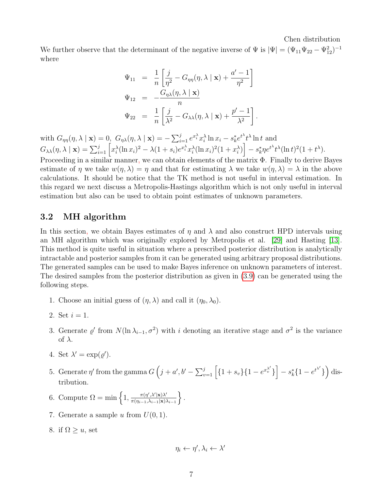We further observe that the determinant of the negative inverse of  $\Psi$  is  $|\Psi| = (\Psi_{11}\Psi_{22} - \Psi_{12}^2)^{-1}$ where

$$
\Psi_{11} = \frac{1}{n} \left[ \frac{j}{\eta^2} - G_{\eta\eta}(\eta, \lambda \mid \mathbf{x}) + \frac{a' - 1}{\eta^2} \right]
$$
  

$$
\Psi_{12} = -\frac{G_{\eta\lambda}(\eta, \lambda \mid \mathbf{x})}{n}
$$
  

$$
\Psi_{22} = \frac{1}{n} \left[ \frac{j}{\lambda^2} - G_{\lambda\lambda}(\eta, \lambda \mid \mathbf{x}) + \frac{p' - 1}{\lambda^2} \right].
$$

with  $G_{\eta\eta}(\eta,\lambda \mid \mathbf{x}) = 0$ ,  $G_{\eta\lambda}(\eta,\lambda \mid \mathbf{x}) = -\sum_{i=1}^{j} e^{x_i^{\lambda}} x_i^{\lambda} \ln x_i - s_k^* e^{t^{\lambda}} t^{\lambda} \ln t$  and  $G_{\lambda\lambda}(\eta,\lambda\mid\mathbf{x})=\sum_{i=1}^j\left[x_i^\lambda(\ln x_i)^2-\lambda(1+s_i)e^{x_i^\lambda}x_i^\lambda(\ln x_i)^2(1+x_i^\lambda)\right]-s_k^* \eta e^{t^\lambda}t^\lambda(\ln t)^2(1+t^\lambda).$ 

Proceeding in a similar manner, we can obtain elements of the matrix Φ. Finally to derive Bayes estimate of  $\eta$  we take  $w(\eta, \lambda) = \eta$  and that for estimating  $\lambda$  we take  $w(\eta, \lambda) = \lambda$  in the above calculations. It should be notice that the TK method is not useful in interval estimation. In this regard we next discuss a Metropolis-Hastings algorithm which is not only useful in interval estimation but also can be used to obtain point estimates of unknown parameters.

#### 3.2 MH algorithm

In this section, we obtain Bayes estimates of  $\eta$  and  $\lambda$  and also construct HPD intervals using an MH algorithm which was originally explored by Metropolis et al. [\[29\]](#page-20-7) and Hasting [\[13\]](#page-19-13). This method is quite useful in situation where a prescribed posterior distribution is analytically intractable and posterior samples from it can be generated using arbitrary proposal distributions. The generated samples can be used to make Bayes inference on unknown parameters of interest. The desired samples from the posterior distribution as given in [\(3.9\)](#page-5-1) can be generated using the following steps.

- 1. Choose an initial guess of  $(\eta, \lambda)$  and call it  $(\eta_0, \lambda_0)$ .
- 2. Set  $i = 1$ .
- 3. Generate  $\varrho'$  from  $N(\ln \lambda_{i-1}, \sigma^2)$  with i denoting an iterative stage and  $\sigma^2$  is the variance of  $\lambda$ .
- 4. Set  $\lambda' = \exp(\varrho').$
- 5. Generate  $\eta'$  from the gamma  $G\left(j + a', b' \sum_{v=1}^{j} \left[\{1 + s_v\}\{1 e^{x_v^{ \lambda'}}\}\right] s_k^{*}\{1 e^{t^{ \lambda'}}\}\right)$  distribution.
- 6. Compute  $\Omega = \min\left\{1, \frac{\pi(\eta',\lambda'|\mathbf{x})\lambda'}{\pi(\eta',\lambda'+|\mathbf{x}|)\lambda'}\right\}$  $\pi(\eta_{i-1},\!\lambda_{i-1}|\mathbf{x})\lambda_{i-1}$  $\}$ .
- 7. Generate a sample u from  $U(0, 1)$ .
- 8. if  $\Omega \geq u$ , set

$$
\eta_i \leftarrow \eta', \lambda_i \leftarrow \lambda'
$$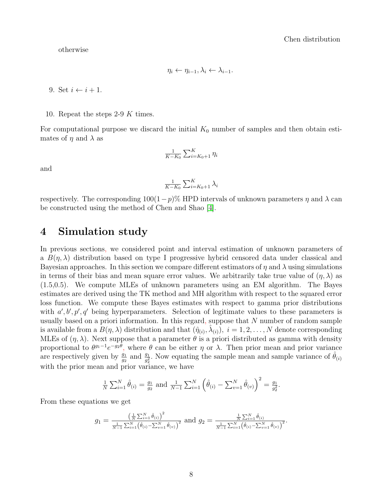otherwise

$$
\eta_i \leftarrow \eta_{i-1}, \lambda_i \leftarrow \lambda_{i-1}.
$$

9. Set  $i \leftarrow i + 1$ .

10. Repeat the steps 2-9 K times.

For computational purpose we discard the initial  $K_0$  number of samples and then obtain estimates of  $\eta$  and  $\lambda$  as

$$
\frac{1}{K-K_0} \sum_{i=K_0+1}^K \eta_i
$$

and

$$
\frac{1}{K-K_0} \sum_{i=K_0+1}^K \lambda_i
$$

respectively. The corresponding  $100(1-p)$ % HPD intervals of unknown parameters  $\eta$  and  $\lambda$  can be constructed using the method of Chen and Shao [\[4\]](#page-18-6).

# <span id="page-7-0"></span>4 Simulation study

In previous sections, we considered point and interval estimation of unknown parameters of a  $B(\eta, \lambda)$  distribution based on type I progressive hybrid censored data under classical and Bayesian approaches. In this section we compare different estimators of  $\eta$  and  $\lambda$  using simulations in terms of their bias and mean square error values. We arbitrarily take true value of  $(\eta, \lambda)$  as (1.5,0.5). We compute MLEs of unknown parameters using an EM algorithm. The Bayes estimates are derived using the TK method and MH algorithm with respect to the squared error loss function. We compute these Bayes estimates with respect to gamma prior distributions with  $a', b', p', q'$  being hyperparameters. Selection of legitimate values to these parameters is usually based on a priori information. In this regard, suppose that  $N$  number of random sample is available from a  $B(\eta, \lambda)$  distribution and that  $(\hat{\eta}_{(i)}, \hat{\lambda}_{(i)})$ ,  $i = 1, 2, ..., N$  denote corresponding MLEs of  $(\eta, \lambda)$ . Next suppose that a parameter  $\theta$  is a priori distributed as gamma with density proportional to  $\theta^{g_1-1}e^{-g_2\theta}$ , where  $\theta$  can be either  $\eta$  or  $\lambda$ . Then prior mean and prior variance are respectively given by  $\frac{g_1}{g_2}$  and  $\frac{g_1}{g_2^2}$ . Now equating the sample mean and sample variance of  $\hat{\theta}_{(i)}$ with the prior mean and prior variance, we have

$$
\frac{1}{N} \sum_{i=1}^{N} \hat{\theta}_{(i)} = \frac{g_1}{g_2} \text{ and } \frac{1}{N-1} \sum_{i=1}^{N} \left( \hat{\theta}_{(i)} - \sum_{v=1}^{N} \hat{\theta}_{(v)} \right)^2 = \frac{g_1}{g_2^2}.
$$

From these equations we get

$$
g_1 = \frac{\left(\frac{1}{N}\sum_{i=1}^N \hat{\theta}_{(i)}\right)^2}{\frac{1}{N-1}\sum_{i=1}^N(\hat{\theta}_{(i)} - \sum_{v=1}^N \hat{\theta}_{(v)})^2}
$$
 and 
$$
g_2 = \frac{\frac{1}{N}\sum_{i=1}^N \hat{\theta}_{(i)}}{\frac{1}{N-1}\sum_{i=1}^N(\hat{\theta}_{(i)} - \sum_{v=1}^N \hat{\theta}_{(v)})^2}.
$$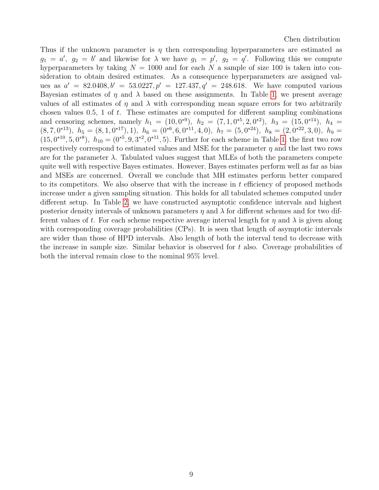Thus if the unknown parameter is  $\eta$  then corresponding hyperparameters are estimated as  $g_1 = a'$ ,  $g_2 = b'$  and likewise for  $\lambda$  we have  $g_1 = p'$ ,  $g_2 = q'$ . Following this we compute hyperparameters by taking  $N = 1000$  and for each N a sample of size 100 is taken into consideration to obtain desired estimates. As a consequence hyperparameters are assigned values as  $a' = 82.0408, b' = 53.0227, p' = 127.437, q' = 248.618$ . We have computed various Bayesian estimates of  $\eta$  and  $\lambda$  based on these assignments. In Table [1,](#page-9-0) we present average values of all estimates of  $\eta$  and  $\lambda$  with corresponding mean square errors for two arbitrarily chosen values  $0.5$ , 1 of t. These estimates are computed for different sampling combinations and censoring schemes, namely  $h_1 = (10, 0^{*9})$ ,  $h_2 = (7, 1, 0^{*5}, 2, 0^{*2})$ ,  $h_3 = (15, 0^{*14})$ ,  $h_4 =$  $(8, 7, 0^{*13})$ ,  $h_5 = (8, 1, 0^{*17}), 1$ ,  $h_6 = (0^{*6}, 6, 0^{*11}, 4, 0)$ ,  $h_7 = (5, 0^{*24})$ ,  $h_8 = (2, 0^{*22}, 3, 0)$ ,  $h_9 = (3, 0, 0, 0)$  $(15, 0^{*10}, 5, 0^{*8}), h_{10} = (0^{*5}, 9, 3^{*2}, 0^{*11}, 5)$ . Further for each scheme in Table [1,](#page-9-0) the first two row respectively correspond to estimated values and MSE for the parameter  $\eta$  and the last two rows are for the parameter  $\lambda$ . Tabulated values suggest that MLEs of both the parameters compete quite well with respective Bayes estimates. However, Bayes estimates perform well as far as bias and MSEs are concerned. Overall we conclude that MH estimates perform better compared to its competitors. We also observe that with the increase in  $t$  efficiency of proposed methods increase under a given sampling situation. This holds for all tabulated schemes computed under different setup. In Table [2,](#page-10-0) we have constructed asymptotic confidence intervals and highest posterior density intervals of unknown parameters  $\eta$  and  $\lambda$  for different schemes and for two different values of t. For each scheme respective average interval length for  $\eta$  and  $\lambda$  is given along with corresponding coverage probabilities (CPs). It is seen that length of asymptotic intervals are wider than those of HPD intervals. Also length of both the interval tend to decrease with the increase in sample size. Similar behavior is observed for  $t$  also. Coverage probabilities of both the interval remain close to the nominal 95% level.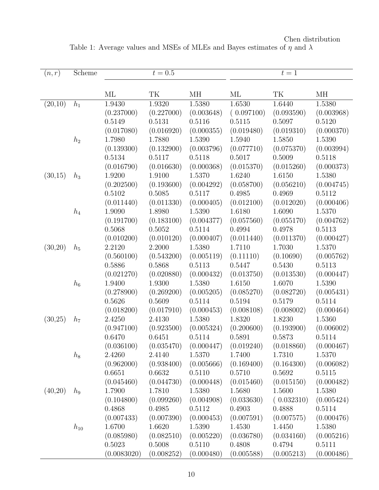<span id="page-9-0"></span>

| (n,r)   | Scheme   | $t=0.5$     |            |            | $t=1$      |            |            |  |
|---------|----------|-------------|------------|------------|------------|------------|------------|--|
|         |          |             |            |            |            |            |            |  |
|         |          | МL          | TK         | MН         | МL         | TK         | МH         |  |
| (20,10) | $h_1$    | 1.9430      | 1.9320     | 1.5380     | 1.6530     | 1.6440     | 1.5380     |  |
|         |          | (0.237000)  | (0.227000) | (0.003648) | (0.097100) | (0.093590) | (0.003968) |  |
|         |          | 0.5149      | 0.5131     | 0.5116     | 0.5115     | 0.5097     | 0.5120     |  |
|         |          | (0.017080)  | (0.016920) | (0.000355) | (0.019480) | (0.019310) | (0.000370) |  |
|         | $h_2$    | 1.7980      | 1.7880     | 1.5390     | 1.5940     | 1.5850     | 1.5390     |  |
|         |          | (0.139300)  | (0.132900) | (0.003796) | (0.077710) | (0.075370) | (0.003994) |  |
|         |          | 0.5134      | 0.5117     | 0.5118     | 0.5017     | 0.5009     | 0.5118     |  |
|         |          | (0.016790)  | (0.016630) | (0.000368) | (0.015370) | (0.015260) | (0.000373) |  |
| (30,15) | $h_3$    | 1.9200      | 1.9100     | 1.5370     | 1.6240     | 1.6150     | 1.5380     |  |
|         |          | (0.202500)  | (0.193600) | (0.004292) | (0.058700) | (0.056210) | (0.004745) |  |
|         |          | 0.5102      | 0.5085     | 0.5117     | 0.4985     | 0.4969     | 0.5112     |  |
|         |          | (0.011440)  | (0.011330) | (0.000405) | (0.012100) | (0.012020) | (0.000406) |  |
|         | $h_4$    | 1.9090      | 1.8980     | 1.5390     | 1.6180     | 1.6090     | 1.5370     |  |
|         |          | (0.191700)  | (0.183100) | (0.004377) | (0.057560) | (0.055170) | (0.004762) |  |
|         |          | 0.5068      | 0.5052     | 0.5114     | 0.4994     | 0.4978     | 0.5113     |  |
|         |          | (0.010200)  | (0.010120) | (0.000407) | (0.011440) | (0.011370) | (0.000427) |  |
| (30,20) | $h_5$    | 2.2120      | 2.2000     | 1.5380     | 1.7110     | 1.7030     | 1.5370     |  |
|         |          | (0.560100)  | (0.543200) | (0.005119) | (0.11110)  | (0.10690)  | (0.005762) |  |
|         |          | 0.5886      | 0.5868     | 0.5113     | 0.5447     | 0.5430     | 0.5113     |  |
|         |          | (0.021270)  | (0.020880) | (0.000432) | (0.013750) | (0.013530) | (0.000447) |  |
|         | $h_6$    | 1.9400      | 1.9300     | 1.5380     | 1.6150     | 1.6070     | 1.5390     |  |
|         |          | (0.278900)  | (0.269200) | (0.005205) | (0.085270) | (0.082720) | (0.005431) |  |
|         |          | 0.5626      | 0.5609     | 0.5114     | 0.5194     | 0.5179     | 0.5114     |  |
|         |          | (0.018200)  | (0.017910) | (0.000453) | (0.008108) | (0.008002) | (0.000464) |  |
| (30,25) | $h_7$    | 2.4250      | 2.4130     | 1.5380     | 1.8320     | 1.8230     | 1.5360     |  |
|         |          | (0.947100)  | (0.923500) | (0.005324) | (0.200600) | (0.193900) | (0.006002) |  |
|         |          | 0.6470      | 0.6451     | 0.5114     | 0.5891     | 0.5873     | 0.5114     |  |
|         |          | (0.036100)  | (0.035470) | (0.000447) | (0.019240) | (0.018860) | (0.000467) |  |
|         | $h_8$    | 2.4260      | 2.4140     | 1.5370     | 1.7400     | 1.7310     | 1.5370     |  |
|         |          | (0.962000)  | (0.938400) | (0.005666) | (0.169400) | (0.164300) | (0.006082) |  |
|         |          | 0.6651      | 0.6632     | 0.5110     | 0.5710     | 0.5692     | 0.5115     |  |
|         |          | (0.045460)  | (0.044730) | (0.000448) | (0.015460) | (0.015150) | (0.000482) |  |
| (40,20) | $h_9$    | 1.7900      | 1.7810     | 1.5380     | 1.5680     | 1.5600     | 1.5380     |  |
|         |          | (0.104800)  | (0.099260) | (0.004908) | (0.033630) | (0.032310) | (0.005424) |  |
|         |          | 0.4868      | 0.4985     | 0.5112     | 0.4903     | 0.4888     | 0.5114     |  |
|         |          | (0.007433)  | (0.007390) | (0.000453) | (0.007591) | (0.007575) | (0.000476) |  |
|         | $h_{10}$ | 1.6700      | 1.6620     | 1.5390     | 1.4530     | 1.4450     | 1.5380     |  |
|         |          | (0.085980)  | (0.082510) | (0.005220) | (0.036780) | (0.034160) | (0.005216) |  |
|         |          | 0.5023      | 0.5008     | 0.5110     | 0.4808     | 0.4794     | 0.5111     |  |
|         |          | (0.0083020) | (0.008252) | (0.000480) | (0.005588) | (0.005213) | (0.000486) |  |

Chen distribution Table 1: Average values and MSEs of MLEs and Bayes estimates of  $\eta$  and  $\lambda$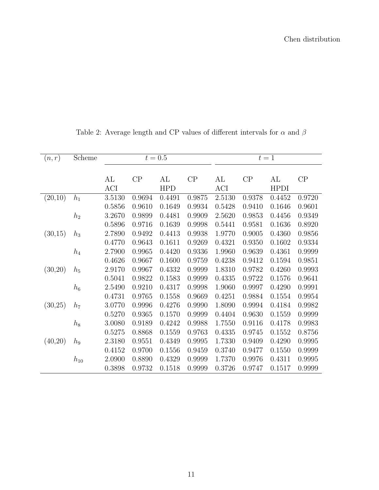<span id="page-10-0"></span>

| (n,r)   | Scheme   | $t = 0.5$ |        |            | $t=1$  |        |        |             |        |
|---------|----------|-----------|--------|------------|--------|--------|--------|-------------|--------|
|         |          |           |        |            |        |        |        |             |        |
|         |          | AL        | CP     | AL         | CP     | AL     | CP     | AL          | CP     |
|         |          | ACI       |        | <b>HPD</b> |        | ACI    |        | <b>HPDI</b> |        |
| (20,10) | $h_1$    | 3.5130    | 0.9694 | 0.4491     | 0.9875 | 2.5130 | 0.9378 | 0.4452      | 0.9720 |
|         |          | 0.5856    | 0.9610 | 0.1649     | 0.9934 | 0.5428 | 0.9410 | 0.1646      | 0.9601 |
|         | $h_2$    | 3.2670    | 0.9899 | 0.4481     | 0.9909 | 2.5620 | 0.9853 | 0.4456      | 0.9349 |
|         |          | 0.5896    | 0.9716 | 0.1639     | 0.9998 | 0.5441 | 0.9581 | 0.1636      | 0.8920 |
| (30,15) | $h_3$    | 2.7890    | 0.9492 | 0.4413     | 0.9938 | 1.9770 | 0.9005 | 0.4360      | 0.9856 |
|         |          | 0.4770    | 0.9643 | 0.1611     | 0.9269 | 0.4321 | 0.9350 | 0.1602      | 0.9334 |
|         | $h_4$    | 2.7900    | 0.9965 | 0.4420     | 0.9336 | 1.9960 | 0.9639 | 0.4361      | 0.9999 |
|         |          | 0.4626    | 0.9667 | 0.1600     | 0.9759 | 0.4238 | 0.9412 | 0.1594      | 0.9851 |
| (30,20) | $h_5$    | 2.9170    | 0.9967 | 0.4332     | 0.9999 | 1.8310 | 0.9782 | 0.4260      | 0.9993 |
|         |          | 0.5041    | 0.9822 | 0.1583     | 0.9999 | 0.4335 | 0.9722 | 0.1576      | 0.9641 |
|         | $h_6$    | 2.5490    | 0.9210 | 0.4317     | 0.9998 | 1.9060 | 0.9997 | 0.4290      | 0.9991 |
|         |          | 0.4731    | 0.9765 | 0.1558     | 0.9669 | 0.4251 | 0.9884 | 0.1554      | 0.9954 |
| (30,25) | $h_7$    | 3.0770    | 0.9996 | 0.4276     | 0.9990 | 1.8090 | 0.9994 | 0.4184      | 0.9982 |
|         |          | 0.5270    | 0.9365 | 0.1570     | 0.9999 | 0.4404 | 0.9630 | 0.1559      | 0.9999 |
|         | $h_8$    | 3.0080    | 0.9189 | 0.4242     | 0.9988 | 1.7550 | 0.9116 | 0.4178      | 0.9983 |
|         |          | 0.5275    | 0.8868 | 0.1559     | 0.9763 | 0.4335 | 0.9745 | 0.1552      | 0.8756 |
| (40,20) | $h_9$    | 2.3180    | 0.9551 | 0.4349     | 0.9995 | 1.7330 | 0.9409 | 0.4290      | 0.9995 |
|         |          | 0.4152    | 0.9700 | 0.1556     | 0.9459 | 0.3740 | 0.9477 | 0.1550      | 0.9999 |
|         | $h_{10}$ | 2.0900    | 0.8890 | 0.4329     | 0.9999 | 1.7370 | 0.9976 | 0.4311      | 0.9995 |
|         |          | 0.3898    | 0.9732 | 0.1518     | 0.9999 | 0.3726 | 0.9747 | 0.1517      | 0.9999 |

Table 2: Average length and CP values of different intervals for  $\alpha$  and  $\beta$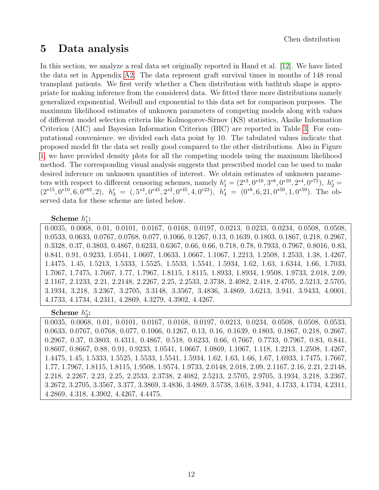## <span id="page-11-0"></span>5 Data analysis

In this section, we analyze a real data set originally reported in Hand et al. [\[12\]](#page-19-14). We have listed the data set in Appendix [A2.](#page-22-0) The data represent graft survival times in months of 148 renal transplant patients. We first verify whether a Chen distribution with bathtub shape is appropriate for making inference from the considered data. We fitted three more distributions namely generalized exponential, Weibull and exponential to this data set for comparison purposes. The maximum likelihood estimates of unknown parameters of competing models along with values of different model selection criteria like Kolmogorov-Sirnov (KS) statistics, Akaike Information Criterion (AIC) and Bayesian Information Criterion (BIC) are reported in Table [3.](#page-12-0) For computational convenience, we divided each data point by 10. The tabulated values indicate that proposed model fit the data set really good compared to the other distributions. Also in Figure [1,](#page-13-0) we have provided density plots for all the competing models using the maximum likelihood method. The corresponding visual analysis suggests that prescribed model can be used to make desired inference on unknown quantities of interest. We obtain estimates of unknown parameters with respect to different censoring schemes, namely  $h_1^r = (2^{*3}, 0^{*10}, 3^{*8}, 0^{*10}, 2^{*4}, 0^{*75}), h_2^r =$  $(2^{*15}, 0^{*10}, 6, 0^{*83}, 2), h_3^r = (5^{*4}, 0^{*45}, 2^{*2}, 0^{*45}, 4, 0^{*23}), h_4^r = (0^{*8}, 6, 21, 0^{*50}, 1, 0^{*59}).$  The observed data for these scheme are listed below.

#### Scheme  $h_1^r$ :

0.0035, 0.0068, 0.01, 0.0101, 0.0167, 0.0168, 0.0197, 0.0213, 0.0233, 0.0234, 0.0508, 0.0508, 0.0533, 0.0633, 0.0767, 0.0768, 0.077, 0.1066, 0.1267, 0.13, 0.1639, 0.1803, 0.1867, 0.218, 0.2967, 0.3328, 0.37, 0.3803, 0.4867, 0.6233, 0.6367, 0.66, 0.66, 0.718, 0.78, 0.7933, 0.7967, 0.8016, 0.83, 0.841, 0.91, 0.9233, 1.0541, 1.0607, 1.0633, 1.0667, 1.1067, 1.2213, 1.2508, 1.2533, 1.38, 1.4267, 1.4475, 1.45, 1.5213, 1.5333, 1.5525, 1.5533, 1.5541, 1.5934, 1.62, 1.63, 1.6344, 1.66, 1.7033, 1.7067, 1.7475, 1.7667, 1.77, 1.7967, 1.8115, 1.8115, 1.8933, 1.8934, 1.9508, 1.9733, 2.018, 2.09, 2.1167, 2.1233, 2.21, 2.2148, 2.2267, 2.25, 2.2533, 2.3738, 2.4082, 2.418, 2.4705, 2.5213, 2.5705, 3.1934, 3.218, 3.2367, 3.2705, 3.3148, 3.3567, 3.4836, 3.4869, 3.6213, 3.941, 3.9433, 4.0001, 4.1733, 4.1734, 4.2311, 4.2869, 4.3279, 4.3902, 4.4267.

#### Scheme  $h_2^r$ :

0.0035, 0.0068, 0.01, 0.0101, 0.0167, 0.0168, 0.0197, 0.0213, 0.0234, 0.0508, 0.0508, 0.0533, 0.0633, 0.0767, 0.0768, 0.077, 0.1066, 0.1267, 0.13, 0.16, 0.1639, 0.1803, 0.1867, 0.218, 0.2667, 0.2967, 0.37, 0.3803, 0.4311, 0.4867, 0.518, 0.6233, 0.66, 0.7667, 0.7733, 0.7967, 0.83, 0.841, 0.8607, 0.8667, 0.88, 0.91, 0.9233, 1.0541, 1.0667, 1.0869, 1.1067, 1.118, 1.2213, 1.2508, 1.4267, 1.4475, 1.45, 1.5333, 1.5525, 1.5533, 1.5541, 1.5934, 1.62, 1.63, 1.66, 1.67, 1.6933, 1.7475, 1.7667, 1.77, 1.7967, 1.8115, 1.8115, 1.9508, 1.9574, 1.9733, 2.0148, 2.018, 2.09, 2.1167, 2.16, 2.21, 2.2148, 2.218, 2.2267, 2.23, 2.25, 2.2533, 2.3738, 2.4082, 2.5213, 2.5705, 2.9705, 3.1934, 3.218, 3.2367, 3.2672, 3.2705, 3.3567, 3.377, 3.3869, 3.4836, 3.4869, 3.5738, 3.618, 3.941, 4.1733, 4.1734, 4.2311, 4.2869, 4.318, 4.3902, 4.4267, 4.4475.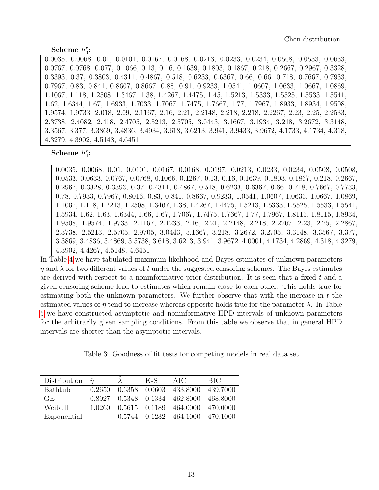#### Scheme  $h_3^r$ :

0.0035, 0.0068, 0.01, 0.0101, 0.0167, 0.0168, 0.0213, 0.0233, 0.0234, 0.0508, 0.0533, 0.0633, 0.0767, 0.0768, 0.077, 0.1066, 0.13, 0.16, 0.1639, 0.1803, 0.1867, 0.218, 0.2667, 0.2967, 0.3328, 0.3393, 0.37, 0.3803, 0.4311, 0.4867, 0.518, 0.6233, 0.6367, 0.66, 0.66, 0.718, 0.7667, 0.7933, 0.7967, 0.83, 0.841, 0.8607, 0.8667, 0.88, 0.91, 0.9233, 1.0541, 1.0607, 1.0633, 1.0667, 1.0869, 1.1067, 1.118, 1.2508, 1.3467, 1.38, 1.4267, 1.4475, 1.45, 1.5213, 1.5333, 1.5525, 1.5533, 1.5541, 1.62, 1.6344, 1.67, 1.6933, 1.7033, 1.7067, 1.7475, 1.7667, 1.77, 1.7967, 1.8933, 1.8934, 1.9508, 1.9574, 1.9733, 2.018, 2.09, 2.1167, 2.16, 2.21, 2.2148, 2.218, 2.218, 2.2267, 2.23, 2.25, 2.2533, 2.3738, 2.4082, 2.418, 2.4705, 2.5213, 2.5705, 3.0443, 3.1667, 3.1934, 3.218, 3.2672, 3.3148, 3.3567, 3.377, 3.3869, 3.4836, 3.4934, 3.618, 3.6213, 3.941, 3.9433, 3.9672, 4.1733, 4.1734, 4.318, 4.3279, 4.3902, 4.5148, 4.6451.

Scheme  $h_4^r$ :

0.0035, 0.0068, 0.01, 0.0101, 0.0167, 0.0168, 0.0197, 0.0213, 0.0233, 0.0234, 0.0508, 0.0508, 0.0533, 0.0633, 0.0767, 0.0768, 0.1066, 0.1267, 0.13, 0.16, 0.1639, 0.1803, 0.1867, 0.218, 0.2667, 0.2967, 0.3328, 0.3393, 0.37, 0.4311, 0.4867, 0.518, 0.6233, 0.6367, 0.66, 0.718, 0.7667, 0.7733, 0.78, 0.7933, 0.7967, 0.8016, 0.83, 0.841, 0.8667, 0.9233, 1.0541, 1.0607, 1.0633, 1.0667, 1.0869, 1.1067, 1.118, 1.2213, 1.2508, 1.3467, 1.38, 1.4267, 1.4475, 1.5213, 1.5333, 1.5525, 1.5533, 1.5541, 1.5934, 1.62, 1.63, 1.6344, 1.66, 1.67, 1.7067, 1.7475, 1.7667, 1.77, 1.7967, 1.8115, 1.8115, 1.8934, 1.9508, 1.9574, 1.9733, 2.1167, 2.1233, 2.16, 2.21, 2.2148, 2.218, 2.2267, 2.23, 2.25, 2.2867, 2.3738, 2.5213, 2.5705, 2.9705, 3.0443, 3.1667, 3.218, 3.2672, 3.2705, 3.3148, 3.3567, 3.377, 3.3869, 3.4836, 3.4869, 3.5738, 3.618, 3.6213, 3.941, 3.9672, 4.0001, 4.1734, 4.2869, 4.318, 4.3279, 4.3902, 4.4267, 4.5148, 4.6451

In Table [4](#page-13-1) we have tabulated maximum likelihood and Bayes estimates of unknown parameters  $\eta$  and  $\lambda$  for two different values of t under the suggested censoring schemes. The Bayes estimates are derived with respect to a noninformative prior distribution. It is seen that a fixed  $t$  and a given censoring scheme lead to estimates which remain close to each other. This holds true for estimating both the unknown parameters. We further observe that with the increase in  $t$  the estimated values of  $\eta$  tend to increase whereas opposite holds true for the parameter  $\lambda$ . In Table [5](#page-14-0) we have constructed asymptotic and noninformative HPD intervals of unknown parameters for the arbitrarily given sampling conditions. From this table we observe that in general HPD intervals are shorter than the asymptotic intervals.

Table 3: Goodness of fit tests for competing models in real data set

<span id="page-12-0"></span>

| Distribution $\hat{\eta}$ |         | K-S | AIC                                    | <b>BIC</b> |
|---------------------------|---------|-----|----------------------------------------|------------|
| <b>Bathtub</b>            |         |     | 0.2650 0.6358 0.0603 433.8000 439.7000 |            |
| GE.                       |         |     | 0.8927 0.5348 0.1334 462.8000 468.8000 |            |
| Weibull                   | 1.0260. |     | 0.5615 0.1189 464.0000 470.0000        |            |
| Exponential               |         |     | 0.5744 0.1232 464.1000 470.1000        |            |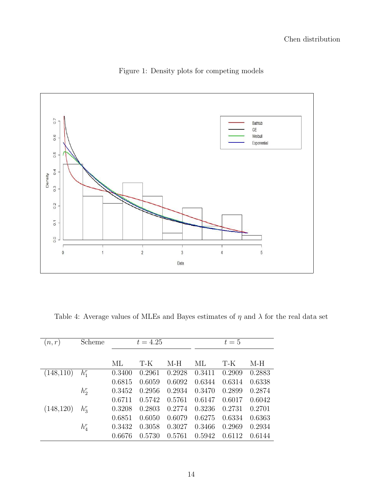<span id="page-13-0"></span>

Figure 1: Density plots for competing models

<span id="page-13-1"></span>

| Table 4: Average values of MLEs and Bayes estimates of $\eta$ and $\lambda$ for the real data set |  |  |  |
|---------------------------------------------------------------------------------------------------|--|--|--|
|                                                                                                   |  |  |  |

| (n,r)      | Scheme  | $t = 4.25$ |        |        | $t=5$  |        |        |
|------------|---------|------------|--------|--------|--------|--------|--------|
|            |         |            |        |        |        |        |        |
|            |         | МL         | T-K    | $M-H$  | МL     | T-K    | M-H    |
| (148,110)  | $h_1^r$ | 0.3400     | 0.2961 | 0.2928 | 0.3411 | 0.2909 | 0.2883 |
|            |         | 0.6815     | 0.6059 | 0.6092 | 0.6344 | 0.6314 | 0.6338 |
|            | $h_2^r$ | 0.3452     | 0.2956 | 0.2934 | 0.3470 | 0.2899 | 0.2874 |
|            |         | 0.6711     | 0.5742 | 0.5761 | 0.6147 | 0.6017 | 0.6042 |
| (148, 120) | $h_3^r$ | 0.3208     | 0.2803 | 0.2774 | 0.3236 | 0.2731 | 0.2701 |
|            |         | 0.6851     | 0.6050 | 0.6079 | 0.6275 | 0.6334 | 0.6363 |
|            | $h_4^r$ | 0.3432     | 0.3058 | 0.3027 | 0.3466 | 0.2969 | 0.2934 |
|            |         | 0.6676     | 0.5730 | 0.5761 | 0.5942 | 0.6112 | 0.6144 |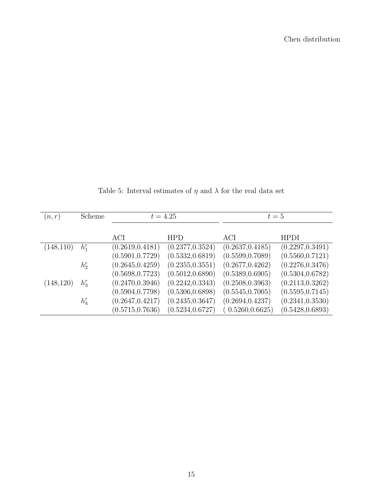<span id="page-14-0"></span>

| (n,r)      | Scheme  | $t = 4.25$       |                  | $t=5$            |                  |  |
|------------|---------|------------------|------------------|------------------|------------------|--|
|            |         |                  |                  |                  |                  |  |
|            |         | ACI              | <b>HPD</b>       | ACI              | <b>HPDI</b>      |  |
| (148, 110) | $h_1^r$ | (0.2619, 0.4181) | (0.2377, 0.3524) | (0.2637, 0.4185) | (0.2297, 0.3491) |  |
|            |         | (0.5901, 0.7729) | (0.5332, 0.6819) | (0.5599, 0.7089) | (0.5560, 0.7121) |  |
|            | $h_2^r$ | (0.2645, 0.4259) | (0.2355, 0.3551) | (0.2677, 0.4262) | (0.2276, 0.3476) |  |
|            |         | (0.5698, 0.7723) | (0.5012, 0.6890) | (0.5389, 0.6905) | (0.5304, 0.6782) |  |
| (148, 120) | $h_3^r$ | (0.2470, 0.3946) | (0.2242, 0.3343) | (0.2508, 0.3963) | (0.2113, 0.3262) |  |
|            |         | (0.5904, 0.7798) | (0.5306, 0.6898) | (0.5545, 0.7005) | (0.5595, 0.7145) |  |
|            | $h_4^r$ | (0.2647, 0.4217) | (0.2435, 0.3647) | (0.2694, 0.4237) | (0.2341, 0.3530) |  |
|            |         | (0.5715, 0.7636) | (0.5234, 0.6727) | (0.5260, 0.6625) | (0.5428, 0.6893) |  |

Table 5: Interval estimates of  $\eta$  and  $\lambda$  for the real data set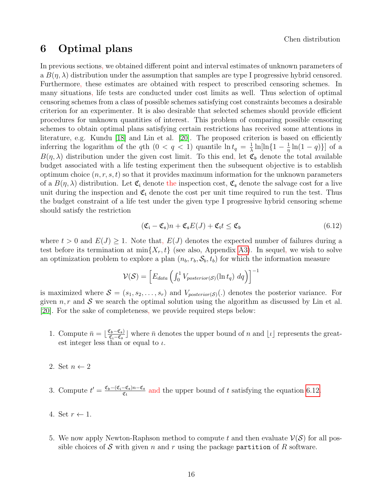### <span id="page-15-0"></span>6 Optimal plans

In previous sections, we obtained different point and interval estimates of unknown parameters of a  $B(\eta, \lambda)$  distribution under the assumption that samples are type I progressive hybrid censored. Furthermore, these estimates are obtained with respect to prescribed censoring schemes. In many situations, life tests are conducted under cost limits as well. Thus selection of optimal censoring schemes from a class of possible schemes satisfying cost constraints becomes a desirable criterion for an experimenter. It is also desirable that selected schemes should provide efficient procedures for unknown quantities of interest. This problem of comparing possible censoring schemes to obtain optimal plans satisfying certain restrictions has received some attentions in literature, e.g. Kundu [\[18\]](#page-19-4) and Lin et al. [\[20\]](#page-19-3). The proposed criterion is based on efficiently inferring the logarithm of the qth  $(0 < q < 1)$  quantile  $\ln t_q = \frac{1}{\lambda}$  $\frac{1}{\lambda} \ln \left[\ln \left\{1 - \frac{1}{\eta}\right\}\right]$  $\frac{1}{\eta} \ln(1-q) \}]$  of a  $B(\eta, \lambda)$  distribution under the given cost limit. To this end, let  $\mathfrak{C}_{\mathfrak{b}}$  denote the total available budget associated with a life testing experiment then the subsequent objective is to establish optimum choice  $(n, r, s, t)$  so that it provides maximum information for the unknown parameters of a  $B(\eta, \lambda)$  distribution. Let  $\mathfrak{C}_i$  denote the inspection cost,  $\mathfrak{C}_s$  denote the salvage cost for a live unit during the inspection and  $\mathfrak{C}_t$  denote the cost per unit time required to run the test. Thus the budget constraint of a life test under the given type I progressive hybrid censoring scheme should satisfy the restriction

<span id="page-15-1"></span>
$$
(\mathfrak{C}_{\mathfrak{i}} - \mathfrak{C}_{\mathfrak{s}})n + \mathfrak{C}_{\mathfrak{s}}E(J) + \mathfrak{C}_{\mathfrak{t}}t \le \mathfrak{C}_{\mathfrak{b}} \tag{6.12}
$$

where  $t > 0$  and  $E(J) \ge 1$ . Note that,  $E(J)$  denotes the expected number of failures during a test before its termination at  $\min\{X_r, t\}$  (see also, Appendix [A3\)](#page-22-1). In sequel, we wish to solve an optimization problem to explore a plan  $(n_b, r_b, \mathcal{S}_b, t_b)$  for which the information measure

$$
\mathcal{V}(\mathcal{S}) = \left[ E_{data} \left( \int_0^1 V_{posterior(\mathcal{S})}(\ln t_q) dq \right) \right]^{-1}
$$

is maximized where  $S = (s_1, s_2, \ldots, s_r)$  and  $V_{posterior(S)}(.)$  denotes the posterior variance. For given  $n, r$  and S we search the optimal solution using the algorithm as discussed by Lin et al. [\[20\]](#page-19-3). For the sake of completeness, we provide required steps below:

- 1. Compute  $\bar{n} = \lfloor \frac{\mathfrak{C}_{\mathfrak{b}} \mathfrak{C}_{\mathfrak{s}}}{\mathfrak{C}_{\mathfrak{c}} \mathfrak{C}_{\mathfrak{s}}}$  $\frac{\sum_{b} - \mathfrak{C}_{s}}{\mathfrak{C}_{i} - \mathfrak{C}_{s}}$  where  $\bar{n}$  denotes the upper bound of n and  $\lfloor \iota \rfloor$  represents the greatest integer less than or equal to  $\iota$ .
- 2. Set  $n \leftarrow 2$
- 3. Compute  $t' = \frac{\mathfrak{C}_{\mathfrak{b}} (\mathfrak{C}_{\mathfrak{i}} \mathfrak{C}_{\mathfrak{s}})n \mathfrak{C}_{\mathfrak{s}}}{\sigma}$  $\frac{-\mathfrak{C}_{\mathfrak{s}}/n-\mathfrak{C}_{\mathfrak{s}}}{\mathfrak{C}_{\mathfrak{t}}}$  and the upper bound of t satisfying the equation [6.12.](#page-15-1)
- 4. Set  $r \leftarrow 1$ .
- 5. We now apply Newton-Raphson method to compute t and then evaluate  $\mathcal{V}(\mathcal{S})$  for all possible choices of S with given n and r using the package partition of R software.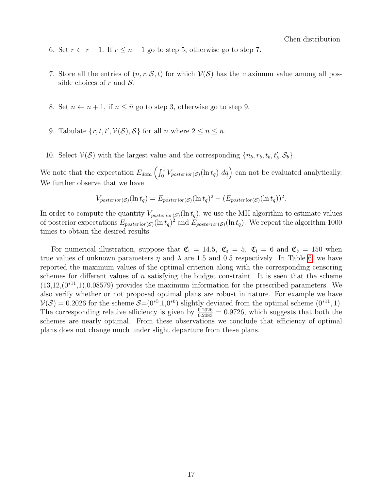- 6. Set  $r \leftarrow r + 1$ . If  $r \leq n 1$  go to step 5, otherwise go to step 7.
- 7. Store all the entries of  $(n, r, \mathcal{S}, t)$  for which  $\mathcal{V}(\mathcal{S})$  has the maximum value among all possible choices of r and  $S$ .
- 8. Set  $n \leftarrow n+1$ , if  $n \leq \bar{n}$  go to step 3, otherwise go to step 9.
- 9. Tabulate  $\{r, t, t', \mathcal{V}(\mathcal{S}), \mathcal{S}\}\$ for all n where  $2 \leq n \leq \bar{n}$ .
- 10. Select  $V(S)$  with the largest value and the corresponding  $\{n_b, r_b, t_b, t'_b, S_b\}.$

We note that the expectation  $E_{data} \left( \int_0^1 V_{posterior(S)}(\ln t_q) dq \right)$  can not be evaluated analytically. We further observe that we have

$$
V_{posterior(S)}(\ln t_q) = E_{posterior(S)}(\ln t_q)^2 - (E_{posterior(S)}(\ln t_q))^2.
$$

In order to compute the quantity  $V_{posterior(S)}(\ln t_q)$ , we use the MH algorithm to estimate values of posterior expectations  $E_{posterior(S)}(\ln t_q)^2$  and  $E_{posterior(S)}(\ln t_q)$ . We repeat the algorithm 1000 times to obtain the desired results.

For numerical illustration, suppose that  $\mathfrak{C}_i = 14.5$ ,  $\mathfrak{C}_s = 5$ ,  $\mathfrak{C}_t = 6$  and  $\mathfrak{C}_b = 150$  when true values of unknown parameters  $\eta$  and  $\lambda$  are 1.5 and 0.5 respectively. In Table [6,](#page-17-0) we have reported the maximum values of the optimal criterion along with the corresponding censoring schemes for different values of n satisfying the budget constraint. It is seen that the scheme  $(13,12,(0^{*11},1),0.08579)$  provides the maximum information for the prescribed parameters. We also verify whether or not proposed optimal plans are robust in nature. For example we have  $V(S) = 0.2026$  for the scheme  $S = (0^{*5}, 1, 0^{*6})$  slightly deviated from the optimal scheme  $(0^{*11}, 1)$ . The corresponding relative efficiency is given by  $\frac{0.2026}{0.2083} = 0.9726$ , which suggests that both the schemes are nearly optimal. From these observations we conclude that efficiency of optimal plans does not change much under slight departure from these plans.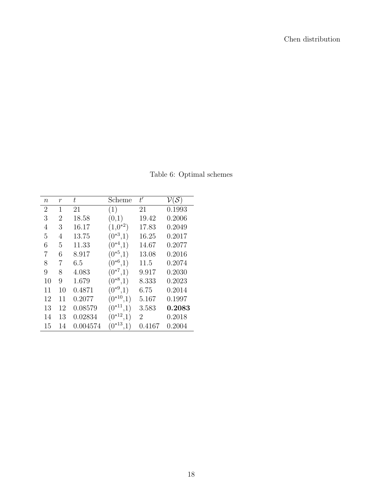<span id="page-17-0"></span>

| $\, n$         | $\boldsymbol{r}$ | ŧ        | Scheme             | t'     | $\mathcal{V}(\mathcal{S})$ |
|----------------|------------------|----------|--------------------|--------|----------------------------|
| $\overline{2}$ | 1                | 21       | (1)                | 21     | 0.1993                     |
| 3              | 2                | 18.58    | (0,1)              | 19.42  | 0.2006                     |
| 4              | 3                | 16.17    | $(1,0^{*2})$       | 17.83  | 0.2049                     |
| 5              | 4                | 13.75    | $(0^{*3},1)$       | 16.25  | 0.2017                     |
| 6              | 5                | 11.33    | $(0^{*4},1)$       | 14.67  | 0.2077                     |
| 7              | 6                | 8.917    | $(0^{*5},1)$       | 13.08  | 0.2016                     |
| 8              | 7                | 6.5      | $(0^{*6},1)$       | 11.5   | 0.2074                     |
| 9              | 8                | 4.083    | $(0^{*7},1)$       | 9.917  | 0.2030                     |
| 10             | 9                | 1.679    | $(0^{*8},1)$       | 8.333  | 0.2023                     |
| 11             | 10               | 0.4871   | $(0^{*9},1)$       | 6.75   | 0.2014                     |
| 12             | 11               | 0.2077   | $(0^{*10}$         | 5.167  | 0.1997                     |
| 13             | 12               | 0.08579  | $(0^{*11},1)$      | 3.583  | 0.2083                     |
| 14             | 13               | 0.02834  | $(0^{*12})$<br>,1) | 2      | 0.2018                     |
| 15             | 14               | 0.004574 | $(0^{*13})$        | 0.4167 | 0.2004                     |

Table 6: Optimal schemes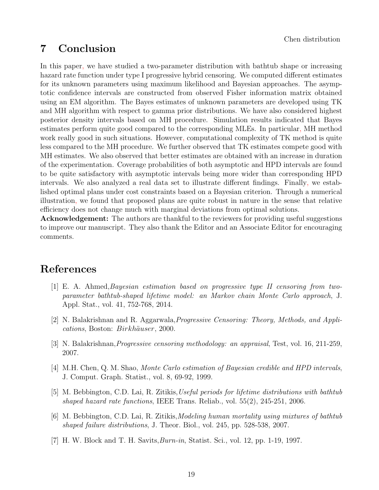# 7 Conclusion

In this paper, we have studied a two-parameter distribution with bathtub shape or increasing hazard rate function under type I progressive hybrid censoring. We computed different estimates for its unknown parameters using maximum likelihood and Bayesian approaches. The asymptotic confidence intervals are constructed from observed Fisher information matrix obtained using an EM algorithm. The Bayes estimates of unknown parameters are developed using TK and MH algorithm with respect to gamma prior distributions. We have also considered highest posterior density intervals based on MH procedure. Simulation results indicated that Bayes estimates perform quite good compared to the corresponding MLEs. In particular, MH method work really good in such situations. However, computational complexity of TK method is quite less compared to the MH procedure. We further observed that TK estimates compete good with MH estimates. We also observed that better estimates are obtained with an increase in duration of the experimentation. Coverage probabilities of both asymptotic and HPD intervals are found to be quite satisfactory with asymptotic intervals being more wider than corresponding HPD intervals. We also analyzed a real data set to illustrate different findings. Finally, we established optimal plans under cost constraints based on a Bayesian criterion. Through a numerical illustration, we found that proposed plans are quite robust in nature in the sense that relative efficiency does not change much with marginal deviations from optimal solutions.

Acknowledgement: The authors are thankful to the reviewers for providing useful suggestions to improve our manuscript. They also thank the Editor and an Associate Editor for encouraging comments.

# <span id="page-18-5"></span>References

- [1] E. A. Ahmed,Bayesian estimation based on progressive type II censoring from twoparameter bathtub-shaped lifetime model: an Markov chain Monte Carlo approach, J. Appl. Stat., vol. 41, 752-768, 2014.
- <span id="page-18-1"></span>[2] N. Balakrishnan and R. Aggarwala,Progressive Censoring: Theory, Methods, and Applications, Boston: Birkhäuser, 2000.
- <span id="page-18-0"></span>[3] N. Balakrishnan,Progressive censoring methodology: an appraisal, Test, vol. 16, 211-259, 2007.
- <span id="page-18-6"></span>[4] M.H. Chen, Q. M. Shao, Monte Carlo estimation of Bayesian credible and HPD intervals, J. Comput. Graph. Statist., vol. 8, 69-92, 1999.
- <span id="page-18-3"></span>[5] M. Bebbington, C.D. Lai, R. Zitikis, Useful periods for lifetime distributions with bathtub shaped hazard rate functions, IEEE Trans. Reliab., vol. 55(2), 245-251, 2006.
- <span id="page-18-4"></span>[6] M. Bebbington, C.D. Lai, R. Zitikis,Modeling human mortality using mixtures of bathtub shaped failure distributions, J. Theor. Biol., vol. 245, pp. 528-538, 2007.
- <span id="page-18-2"></span>[7] H. W. Block and T. H. Savits,Burn-in, Statist. Sci., vol. 12, pp. 1-19, 1997.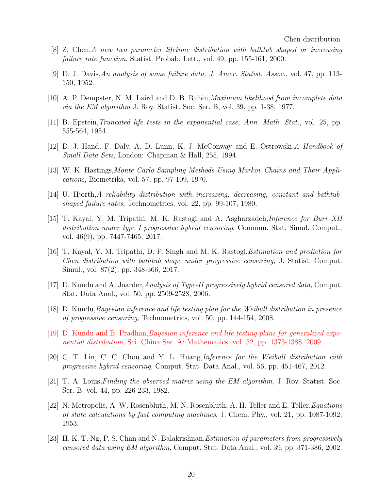- <span id="page-19-7"></span>[8] Z. Chen,A new two parameter lifetime distribution with bathtub shaped or increasing failure rate function, Statist. Probab. Lett., vol. 49, pp. 155-161, 2000.
- <span id="page-19-5"></span>[9] D. J. Davis,An analysis of some failure data. J. Amer. Statist. Assoc., vol. 47, pp. 113- 150, 1952.
- <span id="page-19-9"></span>[10] A. P. Dempster, N. M. Laird and D. B. Rubin,Maximum likelihood from incomplete data via the EM algorithm J. Roy. Statist. Soc. Ser. B, vol. 39, pp. 1-38, 1977.
- <span id="page-19-0"></span>[11] B. Epstein,Truncated life tests in the exponential case, Ann. Math. Stat., vol. 25, pp. 555-564, 1954.
- <span id="page-19-14"></span>[12] D. J. Hand, F. Daly, A. D. Lunn, K. J. McConway and E. Ostrowski,A Handbook of Small Data Sets, London: Chapman & Hall, 255, 1994.
- <span id="page-19-13"></span>[13] W. K. Hastings,Monte Carlo Sampling Methods Using Markov Chains and Their Applications, Biometrika, vol. 57, pp. 97-109, 1970.
- <span id="page-19-6"></span>[14] U. Hjorth,A reliability distribution with increasing, decreasing, constant and bathtubshaped failure rates, Technometrics, vol. 22, pp. 99-107, 1980.
- <span id="page-19-1"></span>[15] T. Kayal, Y. M. Tripathi, M. K. Rastogi and A. Asgharzadeh,Inference for Burr XII distribution under type I progressive hybrid censoring, Commun. Stat. Simul. Comput., vol. 46(9), pp. 7447-7465, 2017.
- <span id="page-19-8"></span>[16] T. Kayal, Y. M. Tripathi, D. P. Singh and M. K. Rastogi,Estimation and prediction for Chen distribution with bathtub shape under progressive censoring, J. Statist. Comput. Simul., vol. 87(2), pp. 348-366, 2017.
- <span id="page-19-2"></span>[17] D. Kundu and A. Joarder,Analysis of Type-II progressively hybrid censored data, Comput. Stat. Data Anal., vol. 50, pp. 2509-2528, 2006.
- <span id="page-19-4"></span>[18] D. Kundu,Bayesian inference and life testing plan for the Weibull distribution in presence of progressive censoring, Technometrics, vol. 50, pp. 144-154, 2008.
- <span id="page-19-12"></span>[19] D. Kundu and B. Pradhan,Bayesian inference and life testing plans for generalized exponential distribution, Sci. China Ser. A: Mathematics, vol. 52, pp. 1373-1388, 2009.
- <span id="page-19-3"></span>[20] C. T. Lin, C. C. Chou and Y. L. Huang,Inference for the Weibull distribution with progressive hybrid censoring, Comput. Stat. Data Anal., vol. 56, pp. 451-467, 2012.
- <span id="page-19-11"></span> $[21]$  T. A. Louis, Finding the observed matrix using the EM algorithm, J. Roy. Statist. Soc. Ser. B, vol. 44, pp. 226-233, 1982.
- [22] N. Metropolis, A. W. Rosenbluth, M. N. Rosenbluth, A. H. Teller and E. Teller,Equations of state calculations by fast computing machines, J. Chem. Phy., vol. 21, pp. 1087-1092, 1953.
- <span id="page-19-10"></span>[23] H. K. T. Ng, P. S. Chan and N. Balakrishnan, *Estimation of parameters from progressively* censored data using EM algorithm, Comput. Stat. Data Anal., vol. 39, pp. 371-386, 2002.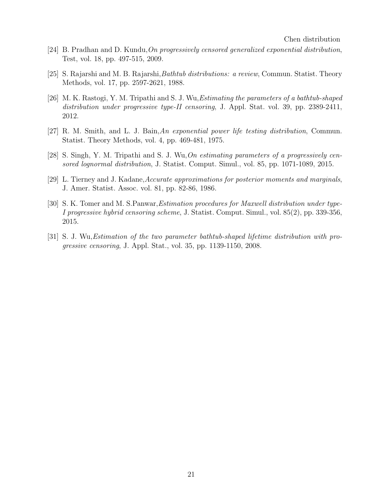- <span id="page-20-1"></span>[24] B. Pradhan and D. Kundu,On progressively censored generalized exponential distribution, Test, vol. 18, pp. 497-515, 2009.
- <span id="page-20-4"></span>[25] S. Rajarshi and M. B. Rajarshi,Bathtub distributions: a review, Commun. Statist. Theory Methods, vol. 17, pp. 2597-2621, 1988.
- <span id="page-20-6"></span>[26] M. K. Rastogi, Y. M. Tripathi and S. J. Wu,Estimating the parameters of a bathtub-shaped distribution under progressive type-II censoring, J. Appl. Stat. vol. 39, pp. 2389-2411, 2012.
- <span id="page-20-3"></span>[27] R. M. Smith, and L. J. Bain,An exponential power life testing distribution, Commun. Statist. Theory Methods, vol. 4, pp. 469-481, 1975.
- <span id="page-20-2"></span>[28] S. Singh, Y. M. Tripathi and S. J. Wu,On estimating parameters of a progressively censored lognormal distribution, J. Statist. Comput. Simul., vol. 85, pp. 1071-1089, 2015.
- <span id="page-20-7"></span>[29] L. Tierney and J. Kadane,Accurate approximations for posterior moments and marginals, J. Amer. Statist. Assoc. vol. 81, pp. 82-86, 1986.
- <span id="page-20-0"></span>[30] S. K. Tomer and M. S.Panwar,Estimation procedures for Maxwell distribution under type-I progressive hybrid censoring scheme, J. Statist. Comput. Simul., vol. 85(2), pp. 339-356, 2015.
- <span id="page-20-5"></span>[31] S. J. Wu,Estimation of the two parameter bathtub-shaped lifetime distribution with progressive censoring, J. Appl. Stat., vol. 35, pp. 1139-1150, 2008.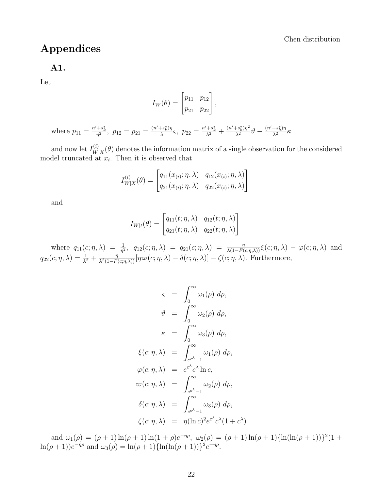# Appendices

#### <span id="page-21-0"></span>A1.

Let

$$
I_W(\theta) = \begin{bmatrix} p_{11} & p_{12} \\ p_{21} & p_{22} \end{bmatrix},
$$

where  $p_{11} = \frac{n' + s_k^*}{\eta^2}$ ,  $p_{12} = p_{21} = \frac{(n' + s_k^*)\eta}{\lambda}$  $\frac{(s^*_{k})\eta}{\lambda}$ ς,  $p_{22} = \frac{n'+s^*_{k}}{\lambda^2} + \frac{(n'+s^*_{k})\eta^2}{\lambda^2}\vartheta - \frac{(n'+s^*_{k})\eta}{\lambda^2}\kappa$ 

and now let  $I_W^{(i)}$  $W|X(\theta)$  denotes the information matrix of a single observation for the considered model truncated at  $x_i$ . Then it is observed that

$$
I_{W|X}^{(i)}(\theta) = \begin{bmatrix} q_{11}(x_{(i)}; \eta, \lambda) & q_{12}(x_{(i)}; \eta, \lambda) \\ q_{21}(x_{(i)}; \eta, \lambda) & q_{22}(x_{(i)}; \eta, \lambda) \end{bmatrix}
$$

and

$$
I_{W|t}(\theta) = \begin{bmatrix} q_{11}(t; \eta, \lambda) & q_{12}(t; \eta, \lambda) \\ q_{21}(t; \eta, \lambda) & q_{22}(t; \eta, \lambda) \end{bmatrix}
$$

where  $q_{11}(c; \eta, \lambda) = \frac{1}{\eta^2}$ ,  $q_{12}(c; \eta, \lambda) = q_{21}(c; \eta, \lambda) = \frac{\eta}{\lambda(1 - F(c; \eta, \lambda))} \xi(c; \eta, \lambda) - \varphi(c; \eta, \lambda)$  and  $q_{22}(c; \eta, \lambda) = \frac{1}{\lambda^2} + \frac{\eta}{\lambda^2(1 - F(c; \eta, \lambda))} [\eta \varpi(c; \eta, \lambda) - \delta(c; \eta, \lambda)] - \zeta(c; \eta, \lambda).$  Furthermore,

$$
\zeta = \int_0^\infty \omega_1(\rho) d\rho,
$$
  
\n
$$
\vartheta = \int_0^\infty \omega_2(\rho) d\rho,
$$
  
\n
$$
\kappa = \int_0^\infty \omega_3(\rho) d\rho,
$$
  
\n
$$
\xi(c; \eta, \lambda) = \int_{e^{c\lambda} - 1}^\infty \omega_1(\rho) d\rho,
$$
  
\n
$$
\varphi(c; \eta, \lambda) = e^{c\lambda} c^{\lambda} \ln c,
$$
  
\n
$$
\varpi(c; \eta, \lambda) = \int_{e^{c\lambda} - 1}^\infty \omega_2(\rho) d\rho,
$$
  
\n
$$
\delta(c; \eta, \lambda) = \int_{e^{c\lambda} - 1}^\infty \omega_3(\rho) d\rho,
$$
  
\n
$$
\zeta(c; \eta, \lambda) = \eta(\ln c)^2 e^{c\lambda} c^{\lambda} (1 + c)
$$

and  $\omega_1(\rho) = (\rho + 1)\ln(\rho + 1)\ln(1 + \rho)e^{-\eta\rho}$ ,  $\omega_2(\rho) = (\rho + 1)\ln(\rho + 1)\ln(\ln(\rho + 1))$ <sup>2</sup> $(1 +$  $\ln(\rho+1))e^{-\eta\rho}$  and  $\omega_3(\rho) = \ln(\rho+1)\{\ln(\ln(\rho+1))\}^2 e^{-\eta\rho}$ .

 $\lambda)$